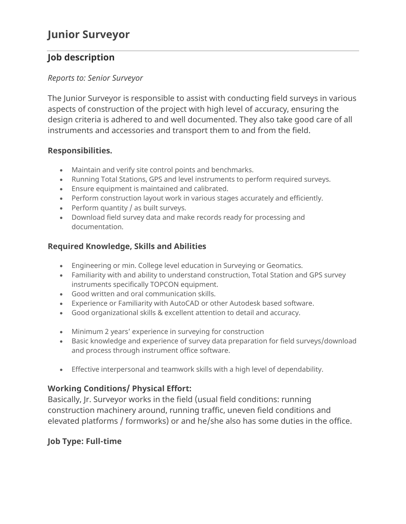# **Junior Surveyor**

## **Job description**

#### *Reports to: Senior Surveyor*

The Junior Surveyor is responsible to assist with conducting field surveys in various aspects of construction of the project with high level of accuracy, ensuring the design criteria is adhered to and well documented. They also take good care of all instruments and accessories and transport them to and from the field.

## **Responsibilities.**

- Maintain and verify site control points and benchmarks.
- Running Total Stations, GPS and level instruments to perform required surveys.
- Ensure equipment is maintained and calibrated.
- Perform construction layout work in various stages accurately and efficiently.
- Perform quantity / as built surveys.
- Download field survey data and make records ready for processing and documentation.

## **Required Knowledge, Skills and Abilities**

- Engineering or min. College level education in Surveying or Geomatics.
- Familiarity with and ability to understand construction, Total Station and GPS survey instruments specifically TOPCON equipment.
- Good written and oral communication skills.
- Experience or Familiarity with AutoCAD or other Autodesk based software.
- Good organizational skills & excellent attention to detail and accuracy.
- Minimum 2 years' experience in surveying for construction
- Basic knowledge and experience of survey data preparation for field surveys/download and process through instrument office software.
- Effective interpersonal and teamwork skills with a high level of dependability.

## **Working Conditions/ Physical Effort:**

Basically, Jr. Surveyor works in the field (usual field conditions: running construction machinery around, running traffic, uneven field conditions and elevated platforms / formworks) or and he/she also has some duties in the office.

## **Job Type: Full-time**